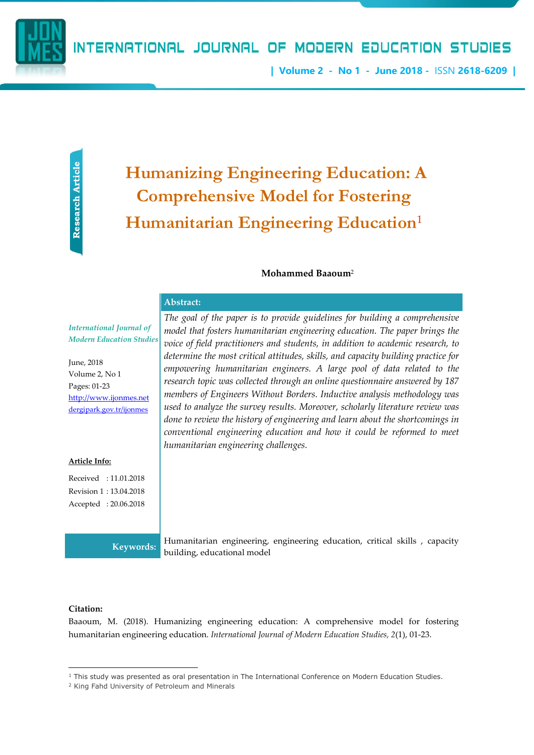| Volume 2 - No 1 - June 2018 - ISSN 2618-6209 |

Research Article Research Article

# Humanizing Engineering Education: A Comprehensive Model for Fostering Humanitarian Engineering Education<sup>1</sup>

#### Mohammed Baaoum<sup>2</sup>

#### Abstract:

*International Journal of Modern Education Studies*

June, 2018 Volume 2, No 1 Pages: 01-23 http://www.ijonmes.net dergipark.gov.tr/ijonmes

#### Article Info:

Received : 11.01.2018 Revision 1 : 13.04.2018 Accepted : 20.06.2018

*The goal of the paper is to provide guidelines for building a comprehensive model that fosters humanitarian engineering education. The paper brings the voice of field practitioners and students, in addition to academic research, to determine the most critical attitudes, skills, and capacity building practice for empowering humanitarian engineers. A large pool of data related to the research topic was collected through an online questionnaire answered by 187 members of Engineers Without Borders. Inductive analysis methodology was used to analyze the survey results. Moreover, scholarly literature review was done to review the history of engineering and learn about the shortcomings in conventional engineering education and how it could be reformed to meet humanitarian engineering challenges.*

Keywords: Humanitarian engineering, engineering education, critical skills , capacity building, educational model

#### Citation:

**.** 

Baaoum, M. (2018). Humanizing engineering education: A comprehensive model for fostering humanitarian engineering education. *International Journal of Modern Education Studies, 2*(1), 01-23.

<sup>1</sup> This study was presented as oral presentation in The International Conference on Modern Education Studies.

<sup>2</sup> King Fahd University of Petroleum and Minerals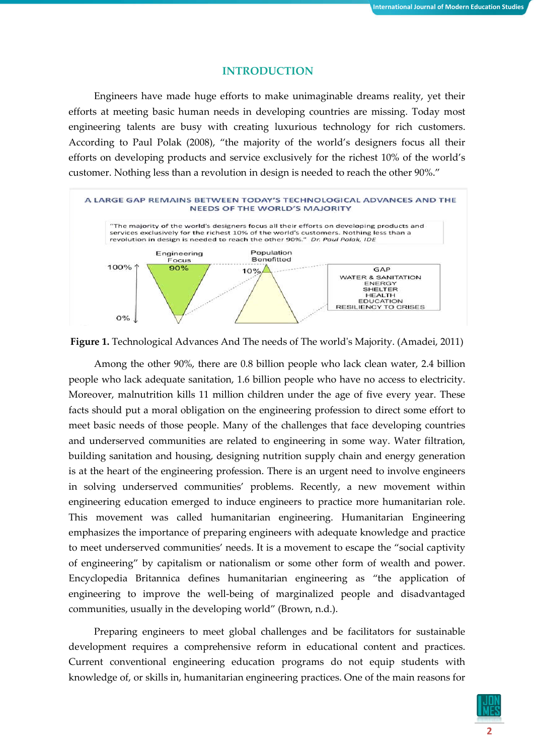## **INTRODUCTION**

Engineers have made huge efforts to make unimaginable dreams reality, yet their efforts at meeting basic human needs in developing countries are missing. Today most engineering talents are busy with creating luxurious technology for rich customers. According to Paul Polak (2008), "the majority of the world's designers focus all their efforts on developing products and service exclusively for the richest 10% of the world's customer. Nothing less than a revolution in design is needed to reach the other 90%."





Among the other 90%, there are 0.8 billion people who lack clean water, 2.4 billion people who lack adequate sanitation, 1.6 billion people who have no access to electricity. Moreover, malnutrition kills 11 million children under the age of five every year. These facts should put a moral obligation on the engineering profession to direct some effort to meet basic needs of those people. Many of the challenges that face developing countries and underserved communities are related to engineering in some way. Water filtration, building sanitation and housing, designing nutrition supply chain and energy generation is at the heart of the engineering profession. There is an urgent need to involve engineers in solving underserved communities' problems. Recently, a new movement within engineering education emerged to induce engineers to practice more humanitarian role. This movement was called humanitarian engineering. Humanitarian Engineering emphasizes the importance of preparing engineers with adequate knowledge and practice to meet underserved communities' needs. It is a movement to escape the "social captivity of engineering" by capitalism or nationalism or some other form of wealth and power. Encyclopedia Britannica defines humanitarian engineering as "the application of engineering to improve the well-being of marginalized people and disadvantaged communities, usually in the developing world" (Brown, n.d.).

Preparing engineers to meet global challenges and be facilitators for sustainable development requires a comprehensive reform in educational content and practices. Current conventional engineering education programs do not equip students with knowledge of, or skills in, humanitarian engineering practices. One of the main reasons for

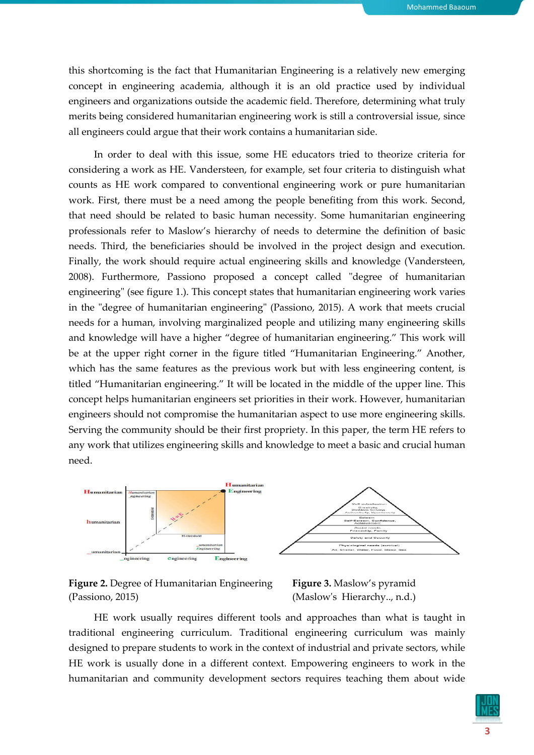this shortcoming is the fact that Humanitarian Engineering is a relatively new emerging concept in engineering academia, although it is an old practice used by individual engineers and organizations outside the academic field. Therefore, determining what truly merits being considered humanitarian engineering work is still a controversial issue, since all engineers could argue that their work contains a humanitarian side.

In order to deal with this issue, some HE educators tried to theorize criteria for considering a work as HE. Vandersteen, for example, set four criteria to distinguish what counts as HE work compared to conventional engineering work or pure humanitarian work. First, there must be a need among the people benefiting from this work. Second, that need should be related to basic human necessity. Some humanitarian engineering professionals refer to Maslow's hierarchy of needs to determine the definition of basic needs. Third, the beneficiaries should be involved in the project design and execution. Finally, the work should require actual engineering skills and knowledge (Vandersteen, 2008). Furthermore, Passiono proposed a concept called "degree of humanitarian engineering" (see figure 1.). This concept states that humanitarian engineering work varies in the "degree of humanitarian engineering" (Passiono, 2015). A work that meets crucial needs for a human, involving marginalized people and utilizing many engineering skills and knowledge will have a higher "degree of humanitarian engineering." This work will be at the upper right corner in the figure titled "Humanitarian Engineering." Another, which has the same features as the previous work but with less engineering content, is titled "Humanitarian engineering." It will be located in the middle of the upper line. This concept helps humanitarian engineers set priorities in their work. However, humanitarian engineers should not compromise the humanitarian aspect to use more engineering skills. Serving the community should be their first propriety. In this paper, the term HE refers to any work that utilizes engineering skills and knowledge to meet a basic and crucial human need.





Figure 3. Maslow's pyramid (Maslow's Hierarchy.., n.d.)

HE work usually requires different tools and approaches than what is taught in traditional engineering curriculum. Traditional engineering curriculum was mainly designed to prepare students to work in the context of industrial and private sectors, while HE work is usually done in a different context. Empowering engineers to work in the humanitarian and community development sectors requires teaching them about wide

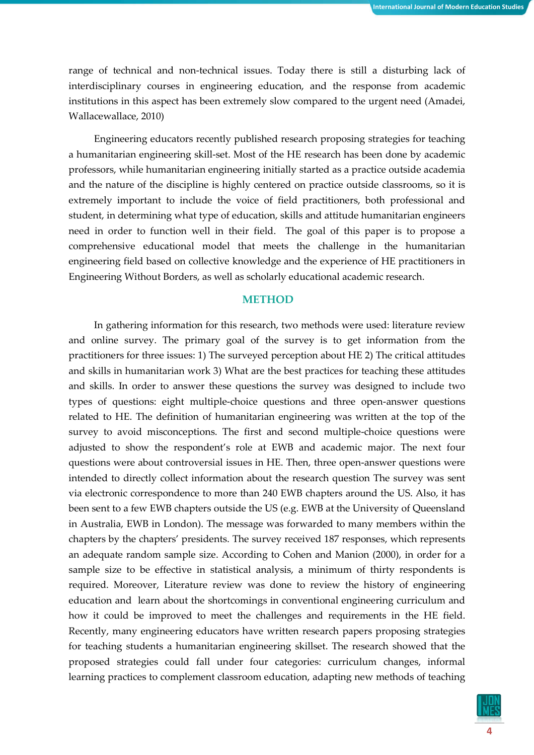range of technical and non-technical issues. Today there is still a disturbing lack of interdisciplinary courses in engineering education, and the response from academic institutions in this aspect has been extremely slow compared to the urgent need (Amadei, Wallacewallace, 2010)

Engineering educators recently published research proposing strategies for teaching a humanitarian engineering skill-set. Most of the HE research has been done by academic professors, while humanitarian engineering initially started as a practice outside academia and the nature of the discipline is highly centered on practice outside classrooms, so it is extremely important to include the voice of field practitioners, both professional and student, in determining what type of education, skills and attitude humanitarian engineers need in order to function well in their field. The goal of this paper is to propose a comprehensive educational model that meets the challenge in the humanitarian engineering field based on collective knowledge and the experience of HE practitioners in Engineering Without Borders, as well as scholarly educational academic research.

## **METHOD**

In gathering information for this research, two methods were used: literature review and online survey. The primary goal of the survey is to get information from the practitioners for three issues: 1) The surveyed perception about HE 2) The critical attitudes and skills in humanitarian work 3) What are the best practices for teaching these attitudes and skills. In order to answer these questions the survey was designed to include two types of questions: eight multiple-choice questions and three open-answer questions related to HE. The definition of humanitarian engineering was written at the top of the survey to avoid misconceptions. The first and second multiple-choice questions were adjusted to show the respondent's role at EWB and academic major. The next four questions were about controversial issues in HE. Then, three open-answer questions were intended to directly collect information about the research question The survey was sent via electronic correspondence to more than 240 EWB chapters around the US. Also, it has been sent to a few EWB chapters outside the US (e.g. EWB at the University of Queensland in Australia, EWB in London). The message was forwarded to many members within the chapters by the chapters' presidents. The survey received 187 responses, which represents an adequate random sample size. According to Cohen and Manion (2000), in order for a sample size to be effective in statistical analysis, a minimum of thirty respondents is required. Moreover, Literature review was done to review the history of engineering education and learn about the shortcomings in conventional engineering curriculum and how it could be improved to meet the challenges and requirements in the HE field. Recently, many engineering educators have written research papers proposing strategies for teaching students a humanitarian engineering skillset. The research showed that the proposed strategies could fall under four categories: curriculum changes, informal learning practices to complement classroom education, adapting new methods of teaching

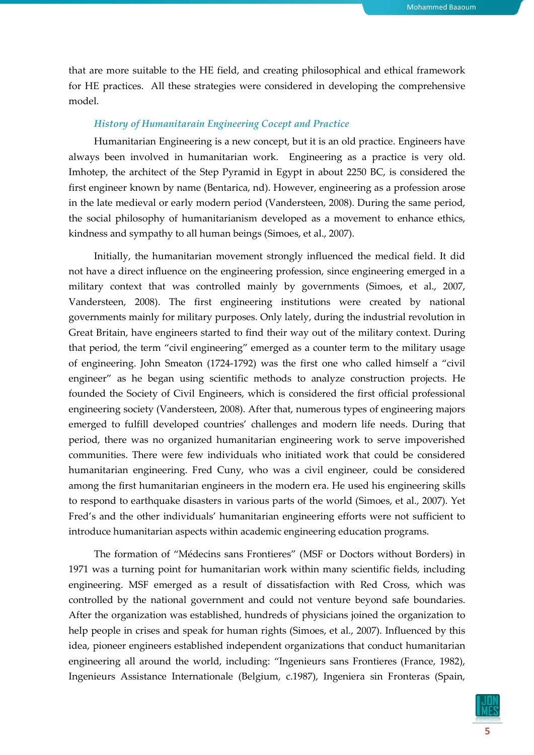that are more suitable to the HE field, and creating philosophical and ethical framework for HE practices. All these strategies were considered in developing the comprehensive model.

## *History of Humanitarain Engineering Cocept and Practice*

Humanitarian Engineering is a new concept, but it is an old practice. Engineers have always been involved in humanitarian work. Engineering as a practice is very old. Imhotep, the architect of the Step Pyramid in Egypt in about 2250 BC, is considered the first engineer known by name (Bentarica, nd). However, engineering as a profession arose in the late medieval or early modern period (Vandersteen, 2008). During the same period, the social philosophy of humanitarianism developed as a movement to enhance ethics, kindness and sympathy to all human beings (Simoes, et al., 2007).

Initially, the humanitarian movement strongly influenced the medical field. It did not have a direct influence on the engineering profession, since engineering emerged in a military context that was controlled mainly by governments (Simoes, et al., 2007, Vandersteen, 2008). The first engineering institutions were created by national governments mainly for military purposes. Only lately, during the industrial revolution in Great Britain, have engineers started to find their way out of the military context. During that period, the term "civil engineering" emerged as a counter term to the military usage of engineering. John Smeaton (1724-1792) was the first one who called himself a "civil engineer" as he began using scientific methods to analyze construction projects. He founded the Society of Civil Engineers, which is considered the first official professional engineering society (Vandersteen, 2008). After that, numerous types of engineering majors emerged to fulfill developed countries' challenges and modern life needs. During that period, there was no organized humanitarian engineering work to serve impoverished communities. There were few individuals who initiated work that could be considered humanitarian engineering. Fred Cuny, who was a civil engineer, could be considered among the first humanitarian engineers in the modern era. He used his engineering skills to respond to earthquake disasters in various parts of the world (Simoes, et al., 2007). Yet Fred's and the other individuals' humanitarian engineering efforts were not sufficient to introduce humanitarian aspects within academic engineering education programs.

The formation of "Médecins sans Frontieres" (MSF or Doctors without Borders) in 1971 was a turning point for humanitarian work within many scientific fields, including engineering. MSF emerged as a result of dissatisfaction with Red Cross, which was controlled by the national government and could not venture beyond safe boundaries. After the organization was established, hundreds of physicians joined the organization to help people in crises and speak for human rights (Simoes, et al., 2007). Influenced by this idea, pioneer engineers established independent organizations that conduct humanitarian engineering all around the world, including: "Ingenieurs sans Frontieres (France, 1982), Ingenieurs Assistance Internationale (Belgium, c.1987), Ingeniera sin Fronteras (Spain,

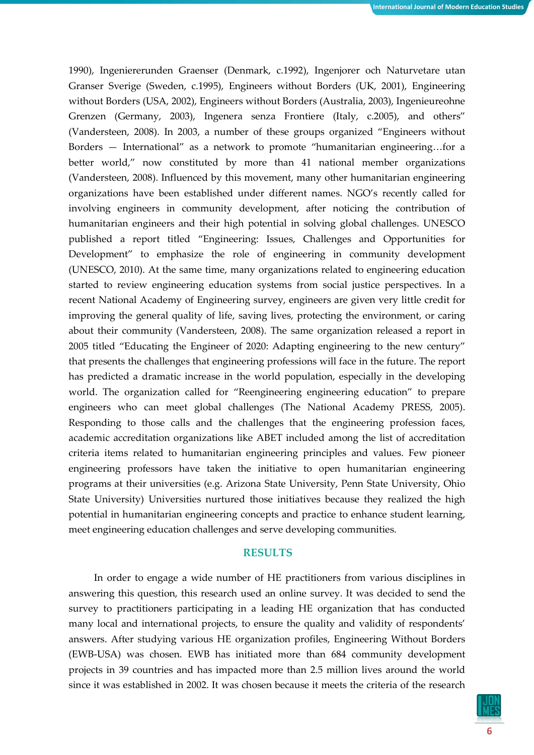1990), Ingeniererunden Graenser (Denmark, c.1992), Ingenjorer och Naturvetare utan Granser Sverige (Sweden, c.1995), Engineers without Borders (UK, 2001), Engineering without Borders (USA, 2002), Engineers without Borders (Australia, 2003), Ingenieureohne Grenzen (Germany, 2003), Ingenera senza Frontiere (Italy, c.2005), and others" (Vandersteen, 2008). In 2003, a number of these groups organized "Engineers without Borders — International" as a network to promote "humanitarian engineering…for a better world," now constituted by more than 41 national member organizations (Vandersteen, 2008). Influenced by this movement, many other humanitarian engineering organizations have been established under different names. NGO's recently called for involving engineers in community development, after noticing the contribution of humanitarian engineers and their high potential in solving global challenges. UNESCO published a report titled "Engineering: Issues, Challenges and Opportunities for Development" to emphasize the role of engineering in community development (UNESCO, 2010). At the same time, many organizations related to engineering education started to review engineering education systems from social justice perspectives. In a recent National Academy of Engineering survey, engineers are given very little credit for improving the general quality of life, saving lives, protecting the environment, or caring about their community (Vandersteen, 2008). The same organization released a report in 2005 titled "Educating the Engineer of 2020: Adapting engineering to the new century" that presents the challenges that engineering professions will face in the future. The report has predicted a dramatic increase in the world population, especially in the developing world. The organization called for "Reengineering engineering education" to prepare engineers who can meet global challenges (The National Academy PRESS, 2005). Responding to those calls and the challenges that the engineering profession faces, academic accreditation organizations like ABET included among the list of accreditation criteria items related to humanitarian engineering principles and values. Few pioneer engineering professors have taken the initiative to open humanitarian engineering programs at their universities (e.g. Arizona State University, Penn State University, Ohio State University) Universities nurtured those initiatives because they realized the high potential in humanitarian engineering concepts and practice to enhance student learning, meet engineering education challenges and serve developing communities.

#### RESULTS

In order to engage a wide number of HE practitioners from various disciplines in answering this question, this research used an online survey. It was decided to send the survey to practitioners participating in a leading HE organization that has conducted many local and international projects, to ensure the quality and validity of respondents' answers. After studying various HE organization profiles, Engineering Without Borders (EWB-USA) was chosen. EWB has initiated more than 684 community development projects in 39 countries and has impacted more than 2.5 million lives around the world since it was established in 2002. It was chosen because it meets the criteria of the research

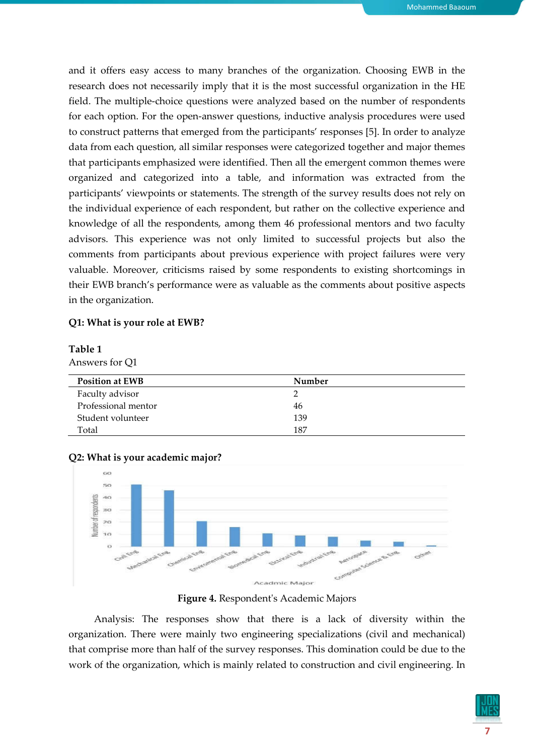and it offers easy access to many branches of the organization. Choosing EWB in the research does not necessarily imply that it is the most successful organization in the HE field. The multiple-choice questions were analyzed based on the number of respondents for each option. For the open-answer questions, inductive analysis procedures were used to construct patterns that emerged from the participants' responses [5]. In order to analyze data from each question, all similar responses were categorized together and major themes that participants emphasized were identified. Then all the emergent common themes were organized and categorized into a table, and information was extracted from the participants' viewpoints or statements. The strength of the survey results does not rely on the individual experience of each respondent, but rather on the collective experience and knowledge of all the respondents, among them 46 professional mentors and two faculty advisors. This experience was not only limited to successful projects but also the comments from participants about previous experience with project failures were very valuable. Moreover, criticisms raised by some respondents to existing shortcomings in their EWB branch's performance were as valuable as the comments about positive aspects in the organization.

## Q1: What is your role at EWB?

#### Table 1

Answers for Q1

| <b>Position at EWB</b> | Number |
|------------------------|--------|
| Faculty advisor        |        |
| Professional mentor    | 46     |
| Student volunteer      | 139    |
| Total                  | 187    |





Figure 4. Respondent's Academic Majors

Analysis: The responses show that there is a lack of diversity within the organization. There were mainly two engineering specializations (civil and mechanical) that comprise more than half of the survey responses. This domination could be due to the work of the organization, which is mainly related to construction and civil engineering. In

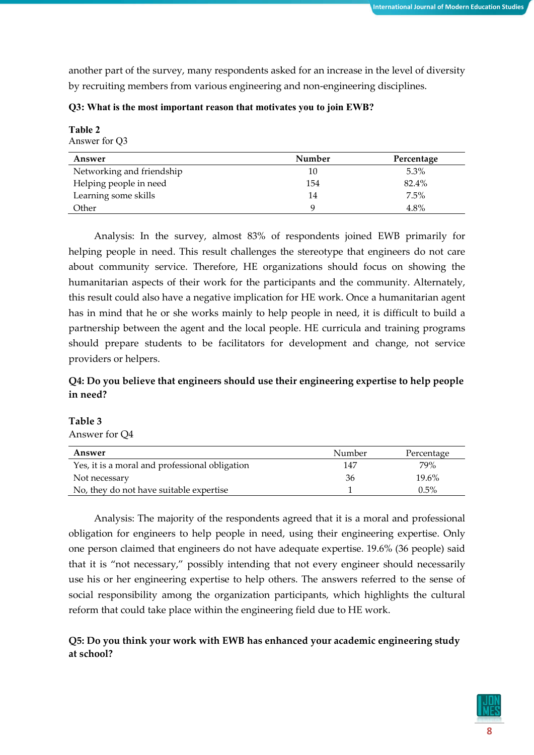another part of the survey, many respondents asked for an increase in the level of diversity by recruiting members from various engineering and non-engineering disciplines.

| Table 2<br>Answer for Q3  |        |            |  |  |
|---------------------------|--------|------------|--|--|
| Answer                    | Number | Percentage |  |  |
| Networking and friendship | 10     | $5.3\%$    |  |  |
| Helping people in need    | 154    | 82.4%      |  |  |
| Learning some skills      | 14     | 7.5%       |  |  |
| Other                     | 9      | 4.8%       |  |  |

#### Q3: What is the most important reason that motivates you to join EWB?

Analysis: In the survey, almost 83% of respondents joined EWB primarily for helping people in need. This result challenges the stereotype that engineers do not care about community service. Therefore, HE organizations should focus on showing the humanitarian aspects of their work for the participants and the community. Alternately, this result could also have a negative implication for HE work. Once a humanitarian agent has in mind that he or she works mainly to help people in need, it is difficult to build a partnership between the agent and the local people. HE curricula and training programs should prepare students to be facilitators for development and change, not service providers or helpers.

# Q4: Do you believe that engineers should use their engineering expertise to help people in need?

## Table 3

Answer for Q4

| Answer                                         | Number | Percentage |
|------------------------------------------------|--------|------------|
| Yes, it is a moral and professional obligation | 147    | 79%        |
| Not necessary                                  | 36     | 19.6%      |
| No, they do not have suitable expertise        |        | $0.5\%$    |

Analysis: The majority of the respondents agreed that it is a moral and professional obligation for engineers to help people in need, using their engineering expertise. Only one person claimed that engineers do not have adequate expertise. 19.6% (36 people) said that it is "not necessary," possibly intending that not every engineer should necessarily use his or her engineering expertise to help others. The answers referred to the sense of social responsibility among the organization participants, which highlights the cultural reform that could take place within the engineering field due to HE work.

# Q5: Do you think your work with EWB has enhanced your academic engineering study at school?

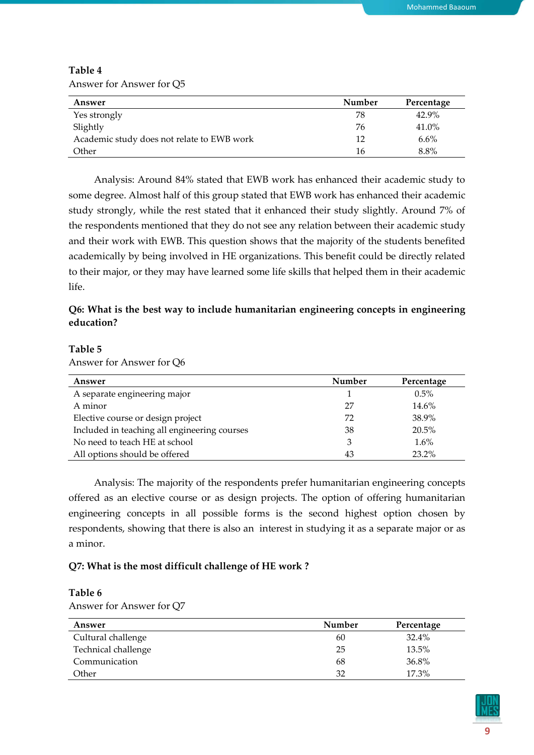| Answer                                     | Number | Percentage |
|--------------------------------------------|--------|------------|
| Yes strongly                               | 78     | 42.9%      |
| Slightly                                   | 76     | 41.0%      |
| Academic study does not relate to EWB work | 12     | 6.6%       |
| Other                                      | 16     | 8.8%       |

Table 4 Answer for Answer for Q5

Analysis: Around 84% stated that EWB work has enhanced their academic study to some degree. Almost half of this group stated that EWB work has enhanced their academic study strongly, while the rest stated that it enhanced their study slightly. Around 7% of the respondents mentioned that they do not see any relation between their academic study and their work with EWB. This question shows that the majority of the students benefited academically by being involved in HE organizations. This benefit could be directly related to their major, or they may have learned some life skills that helped them in their academic life.

# Q6: What is the best way to include humanitarian engineering concepts in engineering education?

## Table 5

Answer for Answer for Q6

| Answer                                       | Number | Percentage |
|----------------------------------------------|--------|------------|
| A separate engineering major                 |        | 0.5%       |
| A minor                                      | 27     | 14.6%      |
| Elective course or design project            | 72     | 38.9%      |
| Included in teaching all engineering courses | 38     | $20.5\%$   |
| No need to teach HE at school                |        | $1.6\%$    |
| All options should be offered                | 43     | 23.2%      |

Analysis: The majority of the respondents prefer humanitarian engineering concepts offered as an elective course or as design projects. The option of offering humanitarian engineering concepts in all possible forms is the second highest option chosen by respondents, showing that there is also an interest in studying it as a separate major or as a minor.

# Q7: What is the most difficult challenge of HE work ?

# Table 6

Answer for Answer for Q7

| Answer              | Number | Percentage |
|---------------------|--------|------------|
| Cultural challenge  | 60     | 32.4%      |
| Technical challenge | 25     | 13.5%      |
| Communication       | 68     | 36.8%      |
| Other               | 32     | 17.3%      |

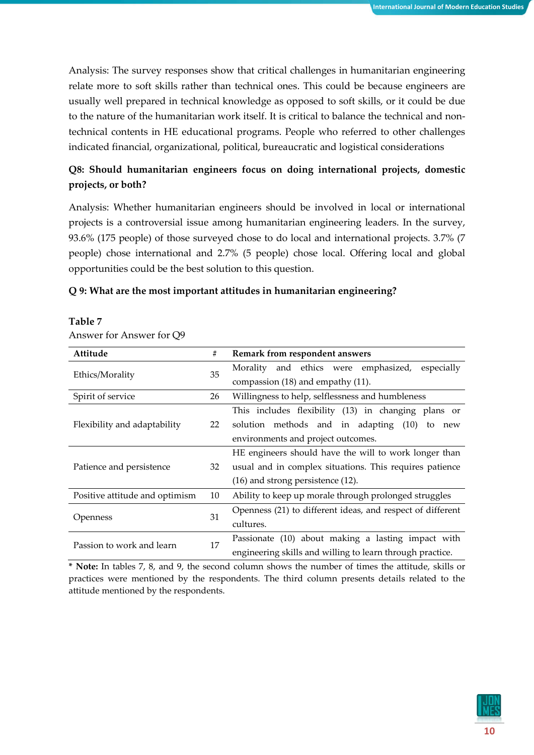Analysis: The survey responses show that critical challenges in humanitarian engineering relate more to soft skills rather than technical ones. This could be because engineers are usually well prepared in technical knowledge as opposed to soft skills, or it could be due to the nature of the humanitarian work itself. It is critical to balance the technical and nontechnical contents in HE educational programs. People who referred to other challenges indicated financial, organizational, political, bureaucratic and logistical considerations

# Q8: Should humanitarian engineers focus on doing international projects, domestic projects, or both?

Analysis: Whether humanitarian engineers should be involved in local or international projects is a controversial issue among humanitarian engineering leaders. In the survey, 93.6% (175 people) of those surveyed chose to do local and international projects. 3.7% (7 people) chose international and 2.7% (5 people) chose local. Offering local and global opportunities could be the best solution to this question.

# Q 9: What are the most important attitudes in humanitarian engineering?

| Attitude                       | #  | Remark from respondent answers                             |
|--------------------------------|----|------------------------------------------------------------|
|                                | 35 | Morality and ethics were emphasized, especially            |
| Ethics/Morality                |    | compassion (18) and empathy (11).                          |
| Spirit of service              | 26 | Willingness to help, selflessness and humbleness           |
|                                | 22 | This includes flexibility (13) in changing plans or        |
| Flexibility and adaptability   |    | solution methods and in adapting (10) to<br>new            |
|                                |    | environments and project outcomes.                         |
|                                |    | HE engineers should have the will to work longer than      |
| Patience and persistence       | 32 | usual and in complex situations. This requires patience    |
|                                |    | $(16)$ and strong persistence $(12)$ .                     |
| Positive attitude and optimism | 10 | Ability to keep up morale through prolonged struggles      |
| Openness                       | 31 | Openness (21) to different ideas, and respect of different |
|                                |    | cultures.                                                  |
|                                |    | Passionate (10) about making a lasting impact with         |
| Passion to work and learn      | 17 | engineering skills and willing to learn through practice.  |

## Table 7

## Answer for Answer for Q9

\* Note: In tables 7, 8, and 9, the second column shows the number of times the attitude, skills or practices were mentioned by the respondents. The third column presents details related to the attitude mentioned by the respondents.

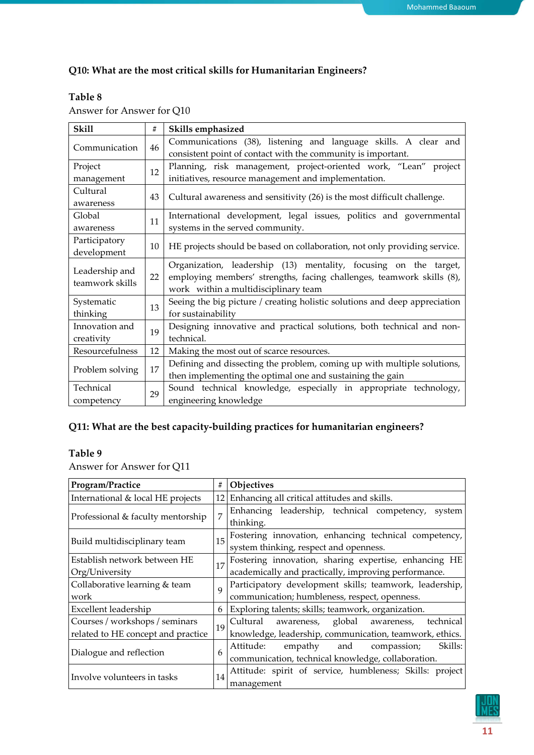# Q10: What are the most critical skills for Humanitarian Engineers?

# Table 8

| Answer for Answer for Q10 |  |  |
|---------------------------|--|--|
|---------------------------|--|--|

| <b>Skill</b>          | #  | Skills emphasized                                                          |  |
|-----------------------|----|----------------------------------------------------------------------------|--|
| Communication<br>46   |    | Communications (38), listening and language skills. A clear and            |  |
|                       |    | consistent point of contact with the community is important.               |  |
| Project               | 12 | Planning, risk management, project-oriented work, "Lean" project           |  |
| management            |    | initiatives, resource management and implementation.                       |  |
| Cultural              | 43 |                                                                            |  |
| awareness             |    | Cultural awareness and sensitivity (26) is the most difficult challenge.   |  |
| Global                | 11 | International development, legal issues, politics and governmental         |  |
| awareness             |    | systems in the served community.                                           |  |
| Participatory         |    |                                                                            |  |
| development           | 10 | HE projects should be based on collaboration, not only providing service.  |  |
|                       |    | Organization, leadership (13) mentality, focusing on the target,           |  |
| Leadership and        | 22 | employing members' strengths, facing challenges, teamwork skills (8),      |  |
| teamwork skills       |    | work within a multidisciplinary team                                       |  |
| Systematic            | 13 | Seeing the big picture / creating holistic solutions and deep appreciation |  |
| thinking              |    | for sustainability                                                         |  |
| Innovation and        | 19 | Designing innovative and practical solutions, both technical and non-      |  |
| creativity            |    | technical.                                                                 |  |
| Resourcefulness       | 12 | Making the most out of scarce resources.                                   |  |
| 17<br>Problem solving |    | Defining and dissecting the problem, coming up with multiple solutions,    |  |
|                       |    | then implementing the optimal one and sustaining the gain                  |  |
| Technical             |    | Sound technical knowledge, especially in appropriate technology,           |  |
| competency            | 29 | engineering knowledge                                                      |  |

# Q11: What are the best capacity-building practices for humanitarian engineers?

# Table 9

Answer for Answer for Q11

| Program/Practice                   | #              | Objectives                                                                                                 |
|------------------------------------|----------------|------------------------------------------------------------------------------------------------------------|
| International & local HE projects  |                | 12 Enhancing all critical attitudes and skills.                                                            |
| Professional & faculty mentorship  | $\overline{7}$ | Enhancing leadership, technical competency,<br>system<br>thinking.                                         |
| Build multidisciplinary team       | 15             | Fostering innovation, enhancing technical competency,<br>system thinking, respect and openness.            |
| Establish network between HE       | 17             |                                                                                                            |
| Org/University                     |                | Fostering innovation, sharing expertise, enhancing HE academically and practically, improving performance. |
| Collaborative learning & team      | $\overline{Q}$ | Participatory development skills; teamwork, leadership, communication; humbleness, respect, openness.      |
| work                               |                |                                                                                                            |
| Excellent leadership               | 6              | Exploring talents; skills; teamwork, organization.                                                         |
| Courses / workshops / seminars     | 19             | Cultural awareness, global awareness, technical                                                            |
| related to HE concept and practice |                | knowledge, leadership, communication, teamwork, ethics.                                                    |
|                                    | 6              | Skills:<br>empathy<br>Attitude:<br>and<br>compassion;                                                      |
| Dialogue and reflection            |                | communication, technical knowledge, collaboration.                                                         |
|                                    | 14             | Attitude: spirit of service, humbleness; Skills: project                                                   |
| Involve volunteers in tasks        |                | management                                                                                                 |

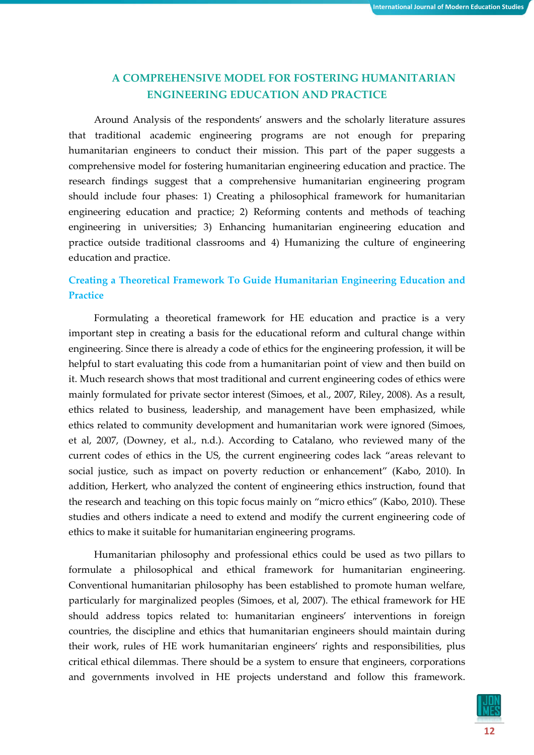# A COMPREHENSIVE MODEL FOR FOSTERING HUMANITARIAN ENGINEERING EDUCATION AND PRACTICE

Around Analysis of the respondents' answers and the scholarly literature assures that traditional academic engineering programs are not enough for preparing humanitarian engineers to conduct their mission. This part of the paper suggests a comprehensive model for fostering humanitarian engineering education and practice. The research findings suggest that a comprehensive humanitarian engineering program should include four phases: 1) Creating a philosophical framework for humanitarian engineering education and practice; 2) Reforming contents and methods of teaching engineering in universities; 3) Enhancing humanitarian engineering education and practice outside traditional classrooms and 4) Humanizing the culture of engineering education and practice.

# Creating a Theoretical Framework To Guide Humanitarian Engineering Education and **Practice**

Formulating a theoretical framework for HE education and practice is a very important step in creating a basis for the educational reform and cultural change within engineering. Since there is already a code of ethics for the engineering profession, it will be helpful to start evaluating this code from a humanitarian point of view and then build on it. Much research shows that most traditional and current engineering codes of ethics were mainly formulated for private sector interest (Simoes, et al., 2007, Riley, 2008). As a result, ethics related to business, leadership, and management have been emphasized, while ethics related to community development and humanitarian work were ignored (Simoes, et al, 2007, (Downey, et al., n.d.). According to Catalano, who reviewed many of the current codes of ethics in the US, the current engineering codes lack "areas relevant to social justice, such as impact on poverty reduction or enhancement" (Kabo, 2010). In addition, Herkert, who analyzed the content of engineering ethics instruction, found that the research and teaching on this topic focus mainly on "micro ethics" (Kabo, 2010). These studies and others indicate a need to extend and modify the current engineering code of ethics to make it suitable for humanitarian engineering programs.

Humanitarian philosophy and professional ethics could be used as two pillars to formulate a philosophical and ethical framework for humanitarian engineering. Conventional humanitarian philosophy has been established to promote human welfare, particularly for marginalized peoples (Simoes, et al, 2007). The ethical framework for HE should address topics related to: humanitarian engineers' interventions in foreign countries, the discipline and ethics that humanitarian engineers should maintain during their work, rules of HE work humanitarian engineers' rights and responsibilities, plus critical ethical dilemmas. There should be a system to ensure that engineers, corporations and governments involved in HE projects understand and follow this framework.

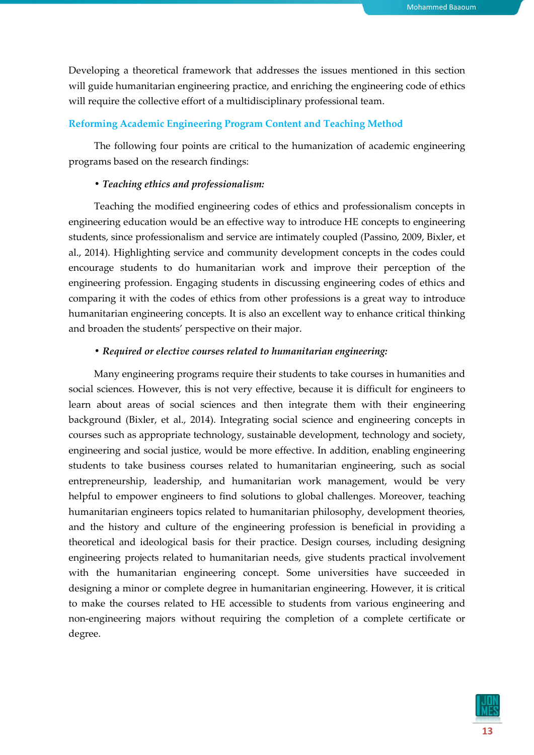Developing a theoretical framework that addresses the issues mentioned in this section will guide humanitarian engineering practice, and enriching the engineering code of ethics will require the collective effort of a multidisciplinary professional team.

## Reforming Academic Engineering Program Content and Teaching Method

The following four points are critical to the humanization of academic engineering programs based on the research findings:

#### *• Teaching ethics and professionalism:*

Teaching the modified engineering codes of ethics and professionalism concepts in engineering education would be an effective way to introduce HE concepts to engineering students, since professionalism and service are intimately coupled (Passino, 2009, Bixler, et al., 2014). Highlighting service and community development concepts in the codes could encourage students to do humanitarian work and improve their perception of the engineering profession. Engaging students in discussing engineering codes of ethics and comparing it with the codes of ethics from other professions is a great way to introduce humanitarian engineering concepts. It is also an excellent way to enhance critical thinking and broaden the students' perspective on their major.

#### *• Required or elective courses related to humanitarian engineering:*

Many engineering programs require their students to take courses in humanities and social sciences. However, this is not very effective, because it is difficult for engineers to learn about areas of social sciences and then integrate them with their engineering background (Bixler, et al., 2014). Integrating social science and engineering concepts in courses such as appropriate technology, sustainable development, technology and society, engineering and social justice, would be more effective. In addition, enabling engineering students to take business courses related to humanitarian engineering, such as social entrepreneurship, leadership, and humanitarian work management, would be very helpful to empower engineers to find solutions to global challenges. Moreover, teaching humanitarian engineers topics related to humanitarian philosophy, development theories, and the history and culture of the engineering profession is beneficial in providing a theoretical and ideological basis for their practice. Design courses, including designing engineering projects related to humanitarian needs, give students practical involvement with the humanitarian engineering concept. Some universities have succeeded in designing a minor or complete degree in humanitarian engineering. However, it is critical to make the courses related to HE accessible to students from various engineering and non-engineering majors without requiring the completion of a complete certificate or degree.

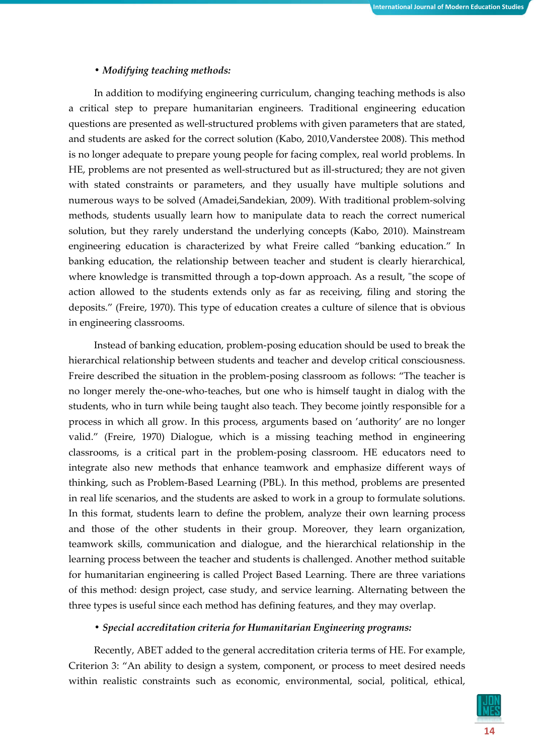## *• Modifying teaching methods:*

In addition to modifying engineering curriculum, changing teaching methods is also a critical step to prepare humanitarian engineers. Traditional engineering education questions are presented as well-structured problems with given parameters that are stated, and students are asked for the correct solution (Kabo, 2010,Vanderstee 2008). This method is no longer adequate to prepare young people for facing complex, real world problems. In HE, problems are not presented as well-structured but as ill-structured; they are not given with stated constraints or parameters, and they usually have multiple solutions and numerous ways to be solved (Amadei,Sandekian, 2009). With traditional problem-solving methods, students usually learn how to manipulate data to reach the correct numerical solution, but they rarely understand the underlying concepts (Kabo, 2010). Mainstream engineering education is characterized by what Freire called "banking education." In banking education, the relationship between teacher and student is clearly hierarchical, where knowledge is transmitted through a top-down approach. As a result, "the scope of action allowed to the students extends only as far as receiving, filing and storing the deposits." (Freire, 1970). This type of education creates a culture of silence that is obvious in engineering classrooms.

Instead of banking education, problem-posing education should be used to break the hierarchical relationship between students and teacher and develop critical consciousness. Freire described the situation in the problem-posing classroom as follows: "The teacher is no longer merely the-one-who-teaches, but one who is himself taught in dialog with the students, who in turn while being taught also teach. They become jointly responsible for a process in which all grow. In this process, arguments based on 'authority' are no longer valid." (Freire, 1970) Dialogue, which is a missing teaching method in engineering classrooms, is a critical part in the problem-posing classroom. HE educators need to integrate also new methods that enhance teamwork and emphasize different ways of thinking, such as Problem-Based Learning (PBL). In this method, problems are presented in real life scenarios, and the students are asked to work in a group to formulate solutions. In this format, students learn to define the problem, analyze their own learning process and those of the other students in their group. Moreover, they learn organization, teamwork skills, communication and dialogue, and the hierarchical relationship in the learning process between the teacher and students is challenged. Another method suitable for humanitarian engineering is called Project Based Learning. There are three variations of this method: design project, case study, and service learning. Alternating between the three types is useful since each method has defining features, and they may overlap.

## *• Special accreditation criteria for Humanitarian Engineering programs:*

Recently, ABET added to the general accreditation criteria terms of HE. For example, Criterion 3: "An ability to design a system, component, or process to meet desired needs within realistic constraints such as economic, environmental, social, political, ethical,

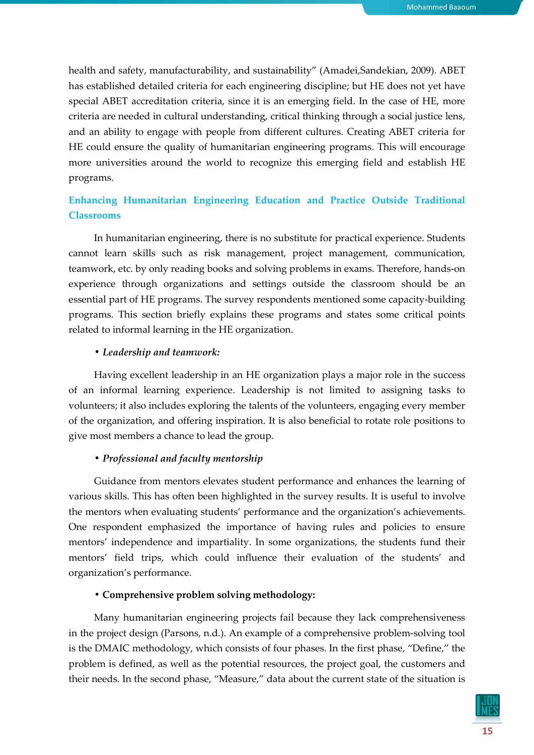health and safety, manufacturability, and sustainability" (Amadei,Sandekian, 2009). ABET has established detailed criteria for each engineering discipline; but HE does not yet have special ABET accreditation criteria, since it is an emerging field. In the case of HE, more criteria are needed in cultural understanding, critical thinking through a social justice lens, and an ability to engage with people from different cultures. Creating ABET criteria for HE could ensure the quality of humanitarian engineering programs. This will encourage more universities around the world to recognize this emerging field and establish HE programs.

# Enhancing Humanitarian Engineering Education and Practice Outside Traditional Classrooms

In humanitarian engineering, there is no substitute for practical experience. Students cannot learn skills such as risk management, project management, communication, teamwork, etc. by only reading books and solving problems in exams. Therefore, hands-on experience through organizations and settings outside the classroom should be an essential part of HE programs. The survey respondents mentioned some capacity-building programs. This section briefly explains these programs and states some critical points related to informal learning in the HE organization.

## *• Leadership and teamwork:*

Having excellent leadership in an HE organization plays a major role in the success of an informal learning experience. Leadership is not limited to assigning tasks to volunteers; it also includes exploring the talents of the volunteers, engaging every member of the organization, and offering inspiration. It is also beneficial to rotate role positions to give most members a chance to lead the group.

### *• Professional and faculty mentorship*

Guidance from mentors elevates student performance and enhances the learning of various skills. This has often been highlighted in the survey results. It is useful to involve the mentors when evaluating students' performance and the organization's achievements. One respondent emphasized the importance of having rules and policies to ensure mentors' independence and impartiality. In some organizations, the students fund their mentors' field trips, which could influence their evaluation of the students' and organization's performance.

### • Comprehensive problem solving methodology:

Many humanitarian engineering projects fail because they lack comprehensiveness in the project design (Parsons, n.d.). An example of a comprehensive problem-solving tool is the DMAIC methodology, which consists of four phases. In the first phase, "Define," the problem is defined, as well as the potential resources, the project goal, the customers and their needs. In the second phase, "Measure," data about the current state of the situation is

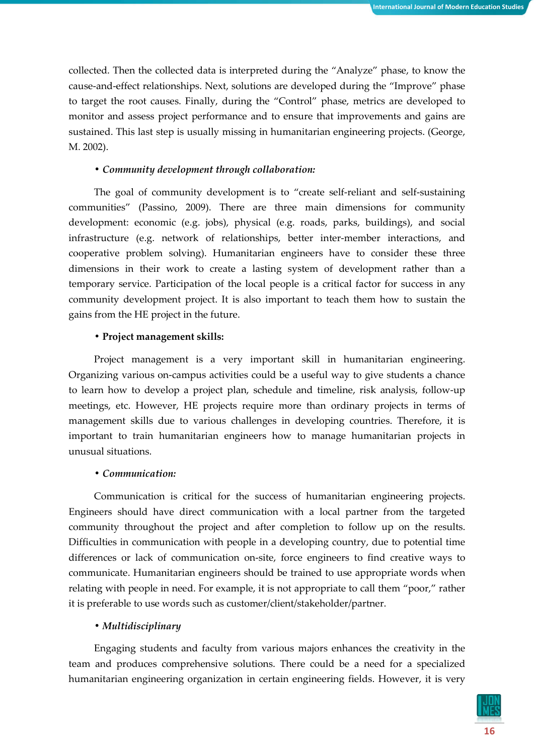collected. Then the collected data is interpreted during the "Analyze" phase, to know the cause-and-effect relationships. Next, solutions are developed during the "Improve" phase to target the root causes. Finally, during the "Control" phase, metrics are developed to monitor and assess project performance and to ensure that improvements and gains are sustained. This last step is usually missing in humanitarian engineering projects. (George, M. 2002).

#### *• Community development through collaboration:*

The goal of community development is to "create self-reliant and self-sustaining communities" (Passino, 2009). There are three main dimensions for community development: economic (e.g. jobs), physical (e.g. roads, parks, buildings), and social infrastructure (e.g. network of relationships, better inter-member interactions, and cooperative problem solving). Humanitarian engineers have to consider these three dimensions in their work to create a lasting system of development rather than a temporary service. Participation of the local people is a critical factor for success in any community development project. It is also important to teach them how to sustain the gains from the HE project in the future.

#### • Project management skills:

Project management is a very important skill in humanitarian engineering. Organizing various on-campus activities could be a useful way to give students a chance to learn how to develop a project plan, schedule and timeline, risk analysis, follow-up meetings, etc. However, HE projects require more than ordinary projects in terms of management skills due to various challenges in developing countries. Therefore, it is important to train humanitarian engineers how to manage humanitarian projects in unusual situations.

## *• Communication:*

Communication is critical for the success of humanitarian engineering projects. Engineers should have direct communication with a local partner from the targeted community throughout the project and after completion to follow up on the results. Difficulties in communication with people in a developing country, due to potential time differences or lack of communication on-site, force engineers to find creative ways to communicate. Humanitarian engineers should be trained to use appropriate words when relating with people in need. For example, it is not appropriate to call them "poor," rather it is preferable to use words such as customer/client/stakeholder/partner.

## *• Multidisciplinary*

Engaging students and faculty from various majors enhances the creativity in the team and produces comprehensive solutions. There could be a need for a specialized humanitarian engineering organization in certain engineering fields. However, it is very

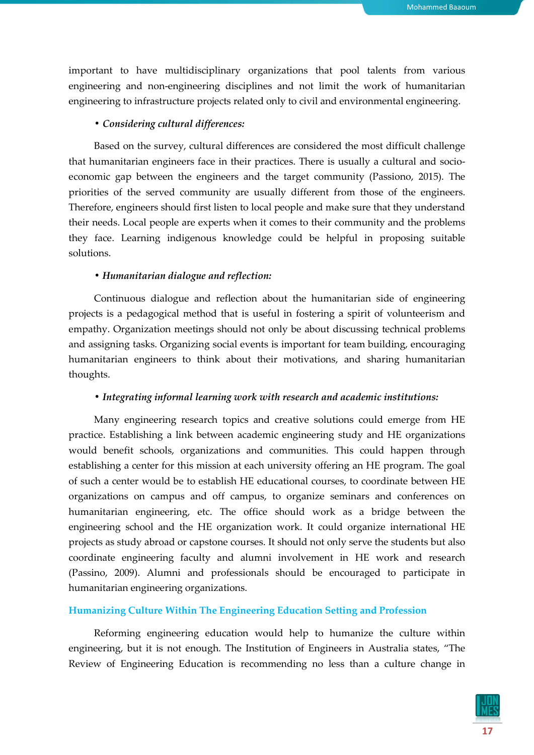important to have multidisciplinary organizations that pool talents from various engineering and non-engineering disciplines and not limit the work of humanitarian engineering to infrastructure projects related only to civil and environmental engineering.

# *• Considering cultural differences:*

Based on the survey, cultural differences are considered the most difficult challenge that humanitarian engineers face in their practices. There is usually a cultural and socioeconomic gap between the engineers and the target community (Passiono, 2015). The priorities of the served community are usually different from those of the engineers. Therefore, engineers should first listen to local people and make sure that they understand their needs. Local people are experts when it comes to their community and the problems they face. Learning indigenous knowledge could be helpful in proposing suitable solutions.

## *• Humanitarian dialogue and reflection:*

Continuous dialogue and reflection about the humanitarian side of engineering projects is a pedagogical method that is useful in fostering a spirit of volunteerism and empathy. Organization meetings should not only be about discussing technical problems and assigning tasks. Organizing social events is important for team building, encouraging humanitarian engineers to think about their motivations, and sharing humanitarian thoughts.

# *• Integrating informal learning work with research and academic institutions:*

Many engineering research topics and creative solutions could emerge from HE practice. Establishing a link between academic engineering study and HE organizations would benefit schools, organizations and communities. This could happen through establishing a center for this mission at each university offering an HE program. The goal of such a center would be to establish HE educational courses, to coordinate between HE organizations on campus and off campus, to organize seminars and conferences on humanitarian engineering, etc. The office should work as a bridge between the engineering school and the HE organization work. It could organize international HE projects as study abroad or capstone courses. It should not only serve the students but also coordinate engineering faculty and alumni involvement in HE work and research (Passino, 2009). Alumni and professionals should be encouraged to participate in humanitarian engineering organizations.

# Humanizing Culture Within The Engineering Education Setting and Profession

Reforming engineering education would help to humanize the culture within engineering, but it is not enough. The Institution of Engineers in Australia states, "The Review of Engineering Education is recommending no less than a culture change in

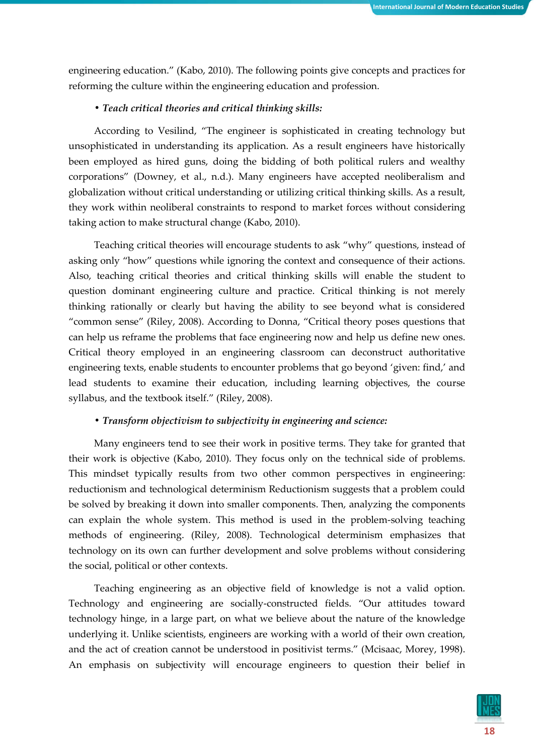engineering education." (Kabo, 2010). The following points give concepts and practices for reforming the culture within the engineering education and profession.

## *• Teach critical theories and critical thinking skills:*

According to Vesilind, "The engineer is sophisticated in creating technology but unsophisticated in understanding its application. As a result engineers have historically been employed as hired guns, doing the bidding of both political rulers and wealthy corporations" (Downey, et al., n.d.). Many engineers have accepted neoliberalism and globalization without critical understanding or utilizing critical thinking skills. As a result, they work within neoliberal constraints to respond to market forces without considering taking action to make structural change (Kabo, 2010).

Teaching critical theories will encourage students to ask "why" questions, instead of asking only "how" questions while ignoring the context and consequence of their actions. Also, teaching critical theories and critical thinking skills will enable the student to question dominant engineering culture and practice. Critical thinking is not merely thinking rationally or clearly but having the ability to see beyond what is considered "common sense" (Riley, 2008). According to Donna, "Critical theory poses questions that can help us reframe the problems that face engineering now and help us define new ones. Critical theory employed in an engineering classroom can deconstruct authoritative engineering texts, enable students to encounter problems that go beyond 'given: find,' and lead students to examine their education, including learning objectives, the course syllabus, and the textbook itself." (Riley, 2008).

## *• Transform objectivism to subjectivity in engineering and science:*

Many engineers tend to see their work in positive terms. They take for granted that their work is objective (Kabo, 2010). They focus only on the technical side of problems. This mindset typically results from two other common perspectives in engineering: reductionism and technological determinism Reductionism suggests that a problem could be solved by breaking it down into smaller components. Then, analyzing the components can explain the whole system. This method is used in the problem-solving teaching methods of engineering. (Riley, 2008). Technological determinism emphasizes that technology on its own can further development and solve problems without considering the social, political or other contexts.

Teaching engineering as an objective field of knowledge is not a valid option. Technology and engineering are socially-constructed fields. "Our attitudes toward technology hinge, in a large part, on what we believe about the nature of the knowledge underlying it. Unlike scientists, engineers are working with a world of their own creation, and the act of creation cannot be understood in positivist terms." (Mcisaac, Morey, 1998). An emphasis on subjectivity will encourage engineers to question their belief in

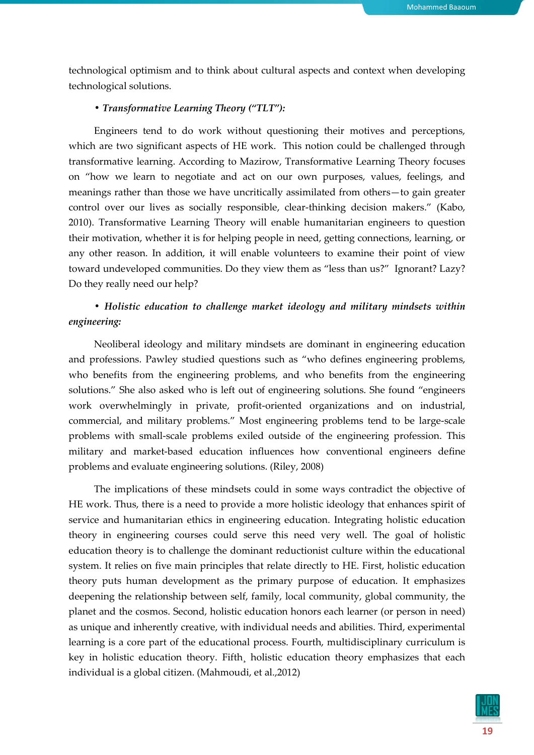technological optimism and to think about cultural aspects and context when developing technological solutions.

#### *• Transformative Learning Theory ("TLT"):*

Engineers tend to do work without questioning their motives and perceptions, which are two significant aspects of HE work. This notion could be challenged through transformative learning. According to Mazirow, Transformative Learning Theory focuses on "how we learn to negotiate and act on our own purposes, values, feelings, and meanings rather than those we have uncritically assimilated from others—to gain greater control over our lives as socially responsible, clear-thinking decision makers." (Kabo, 2010). Transformative Learning Theory will enable humanitarian engineers to question their motivation, whether it is for helping people in need, getting connections, learning, or any other reason. In addition, it will enable volunteers to examine their point of view toward undeveloped communities. Do they view them as "less than us?" Ignorant? Lazy? Do they really need our help?

# *• Holistic education to challenge market ideology and military mindsets within engineering:*

Neoliberal ideology and military mindsets are dominant in engineering education and professions. Pawley studied questions such as "who defines engineering problems, who benefits from the engineering problems, and who benefits from the engineering solutions." She also asked who is left out of engineering solutions. She found "engineers work overwhelmingly in private, profit-oriented organizations and on industrial, commercial, and military problems." Most engineering problems tend to be large-scale problems with small-scale problems exiled outside of the engineering profession. This military and market-based education influences how conventional engineers define problems and evaluate engineering solutions. (Riley, 2008)

The implications of these mindsets could in some ways contradict the objective of HE work. Thus, there is a need to provide a more holistic ideology that enhances spirit of service and humanitarian ethics in engineering education. Integrating holistic education theory in engineering courses could serve this need very well. The goal of holistic education theory is to challenge the dominant reductionist culture within the educational system. It relies on five main principles that relate directly to HE. First, holistic education theory puts human development as the primary purpose of education. It emphasizes deepening the relationship between self, family, local community, global community, the planet and the cosmos. Second, holistic education honors each learner (or person in need) as unique and inherently creative, with individual needs and abilities. Third, experimental learning is a core part of the educational process. Fourth, multidisciplinary curriculum is key in holistic education theory. Fifth, holistic education theory emphasizes that each individual is a global citizen. (Mahmoudi, et al.,2012)

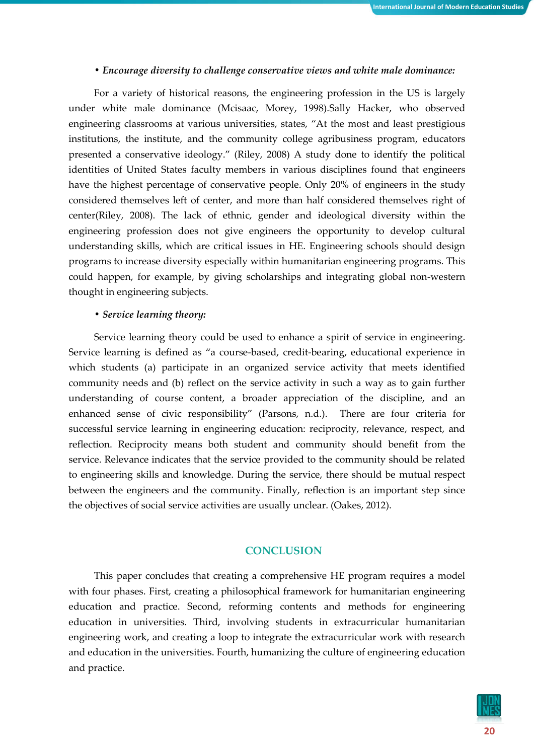#### *• Encourage diversity to challenge conservative views and white male dominance:*

For a variety of historical reasons, the engineering profession in the US is largely under white male dominance (Mcisaac, Morey, 1998).Sally Hacker, who observed engineering classrooms at various universities, states, "At the most and least prestigious institutions, the institute, and the community college agribusiness program, educators presented a conservative ideology." (Riley, 2008) A study done to identify the political identities of United States faculty members in various disciplines found that engineers have the highest percentage of conservative people. Only 20% of engineers in the study considered themselves left of center, and more than half considered themselves right of center(Riley, 2008). The lack of ethnic, gender and ideological diversity within the engineering profession does not give engineers the opportunity to develop cultural understanding skills, which are critical issues in HE. Engineering schools should design programs to increase diversity especially within humanitarian engineering programs. This could happen, for example, by giving scholarships and integrating global non-western thought in engineering subjects.

#### *• Service learning theory:*

Service learning theory could be used to enhance a spirit of service in engineering. Service learning is defined as "a course-based, credit-bearing, educational experience in which students (a) participate in an organized service activity that meets identified community needs and (b) reflect on the service activity in such a way as to gain further understanding of course content, a broader appreciation of the discipline, and an enhanced sense of civic responsibility" (Parsons, n.d.). There are four criteria for successful service learning in engineering education: reciprocity, relevance, respect, and reflection. Reciprocity means both student and community should benefit from the service. Relevance indicates that the service provided to the community should be related to engineering skills and knowledge. During the service, there should be mutual respect between the engineers and the community. Finally, reflection is an important step since the objectives of social service activities are usually unclear. (Oakes, 2012).

#### **CONCLUSION**

This paper concludes that creating a comprehensive HE program requires a model with four phases. First, creating a philosophical framework for humanitarian engineering education and practice. Second, reforming contents and methods for engineering education in universities. Third, involving students in extracurricular humanitarian engineering work, and creating a loop to integrate the extracurricular work with research and education in the universities. Fourth, humanizing the culture of engineering education and practice.

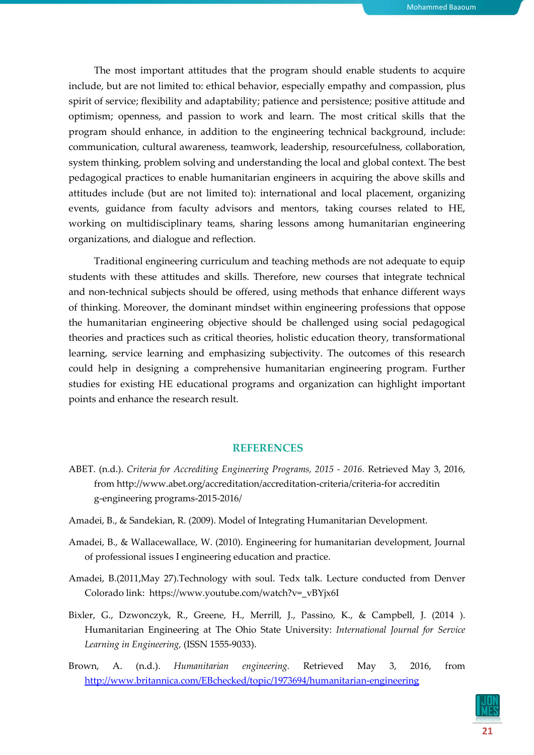The most important attitudes that the program should enable students to acquire include, but are not limited to: ethical behavior, especially empathy and compassion, plus spirit of service; flexibility and adaptability; patience and persistence; positive attitude and optimism; openness, and passion to work and learn. The most critical skills that the program should enhance, in addition to the engineering technical background, include: communication, cultural awareness, teamwork, leadership, resourcefulness, collaboration, system thinking, problem solving and understanding the local and global context. The best pedagogical practices to enable humanitarian engineers in acquiring the above skills and attitudes include (but are not limited to): international and local placement, organizing events, guidance from faculty advisors and mentors, taking courses related to HE, working on multidisciplinary teams, sharing lessons among humanitarian engineering organizations, and dialogue and reflection.

Traditional engineering curriculum and teaching methods are not adequate to equip students with these attitudes and skills. Therefore, new courses that integrate technical and non-technical subjects should be offered, using methods that enhance different ways of thinking. Moreover, the dominant mindset within engineering professions that oppose the humanitarian engineering objective should be challenged using social pedagogical theories and practices such as critical theories, holistic education theory, transformational learning, service learning and emphasizing subjectivity. The outcomes of this research could help in designing a comprehensive humanitarian engineering program. Further studies for existing HE educational programs and organization can highlight important points and enhance the research result.

## **REFERENCES**

- ABET. (n.d.). *Criteria for Accrediting Engineering Programs, 2015 - 2016.* Retrieved May 3, 2016, from http://www.abet.org/accreditation/accreditation-criteria/criteria-for accreditin g-engineering programs-2015-2016/
- Amadei, B., & Sandekian, R. (2009). Model of Integrating Humanitarian Development.
- Amadei, B., & Wallacewallace, W. (2010). Engineering for humanitarian development, Journal of professional issues I engineering education and practice.
- Amadei, B.(2011,May 27).Technology with soul. Tedx talk. Lecture conducted from Denver Colorado link: https://www.youtube.com/watch?v=\_vBYjx6I
- Bixler, G., Dzwonczyk, R., Greene, H., Merrill, J., Passino, K., & Campbell, J. (2014 ). Humanitarian Engineering at The Ohio State University: *International Journal for Service Learning in Engineering,* (ISSN 1555-9033).
- Brown, A. (n.d.). *Humanitarian engineering.* Retrieved May 3, 2016, from http://www.britannica.com/EBchecked/topic/1973694/humanitarian-engineering

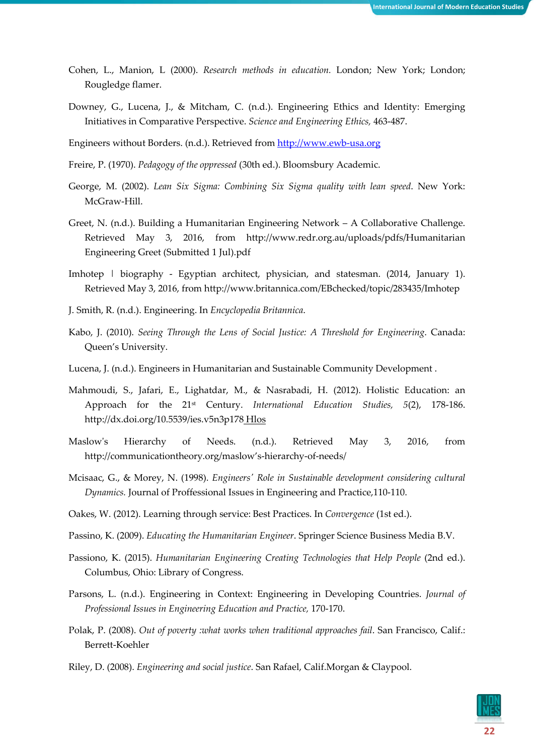- Cohen, L., Manion, L (2000). *Research methods in education.* London; New York; London; Rougledge flamer.
- Downey, G., Lucena, J., & Mitcham, C. (n.d.). Engineering Ethics and Identity: Emerging Initiatives in Comparative Perspective. *Science and Engineering Ethics,* 463-487.
- Engineers without Borders. (n.d.). Retrieved from http://www.ewb-usa.org
- Freire, P. (1970). *Pedagogy of the oppressed* (30th ed.). Bloomsbury Academic.
- George, M. (2002). *Lean Six Sigma: Combining Six Sigma quality with lean speed*. New York: McGraw-Hill.
- Greet, N. (n.d.). Building a Humanitarian Engineering Network A Collaborative Challenge. Retrieved May 3, 2016, from http://www.redr.org.au/uploads/pdfs/Humanitarian Engineering Greet (Submitted 1 Jul).pdf
- Imhotep | biography Egyptian architect, physician, and statesman. (2014, January 1). Retrieved May 3, 2016, from http://www.britannica.com/EBchecked/topic/283435/Imhotep
- J. Smith, R. (n.d.). Engineering. In *Encyclopedia Britannica*.
- Kabo, J. (2010). *Seeing Through the Lens of Social Justice: A Threshold for Engineering*. Canada: Queen's University.
- Lucena, J. (n.d.). Engineers in Humanitarian and Sustainable Community Development .
- Mahmoudi, S., Jafari, E., Lighatdar, M., & Nasrabadi, H. (2012). Holistic Education: an Approach for the 21st Century. *International Education Studies, 5*(2), 178-186. http://dx.doi.org/10.5539/ies.v5n3p178 Hlos
- Maslow's Hierarchy of Needs. (n.d.). Retrieved May 3, 2016, from http://communicationtheory.org/maslow's-hierarchy-of-needs/
- Mcisaac, G., & Morey, N. (1998). *Engineers' Role in Sustainable development considering cultural Dynamics.* Journal of Proffessional Issues in Engineering and Practice,110-110.
- Oakes, W. (2012). Learning through service: Best Practices. In *Convergence* (1st ed.).
- Passino, K. (2009). *Educating the Humanitarian Engineer*. Springer Science Business Media B.V.
- Passiono, K. (2015). *Humanitarian Engineering Creating Technologies that Help People* (2nd ed.). Columbus, Ohio: Library of Congress.
- Parsons, L. (n.d.). Engineering in Context: Engineering in Developing Countries. *Journal of Professional Issues in Engineering Education and Practice,* 170-170.
- Polak, P. (2008). *Out of poverty :what works when traditional approaches fail*. San Francisco, Calif.: Berrett-Koehler
- Riley, D. (2008). *Engineering and social justice*. San Rafael, Calif.Morgan & Claypool.